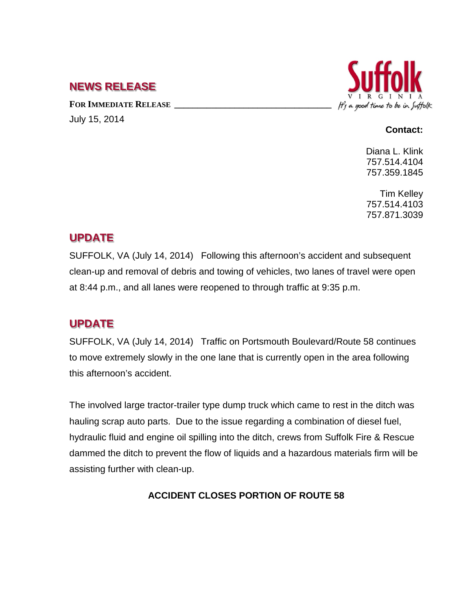## **NEWS RELEASE**

FOR **IMMEDIATE RELEASE** July 15, 2014



#### **Contact:**

Diana L. Klink 757.514.4104 757.359.1845

Tim Kelley 757.514.4103 757.871.3039

# **UPDATE**

SUFFOLK, VA (July 14, 2014) Following this afternoon's accident and subsequent clean-up and removal of debris and towing of vehicles, two lanes of travel were open at 8:44 p.m., and all lanes were reopened to through traffic at 9:35 p.m.

# **UPDATE**

SUFFOLK, VA (July 14, 2014) Traffic on Portsmouth Boulevard/Route 58 continues to move extremely slowly in the one lane that is currently open in the area following this afternoon's accident.

The involved large tractor-trailer type dump truck which came to rest in the ditch was hauling scrap auto parts. Due to the issue regarding a combination of diesel fuel, hydraulic fluid and engine oil spilling into the ditch, crews from Suffolk Fire & Rescue dammed the ditch to prevent the flow of liquids and a hazardous materials firm will be assisting further with clean-up.

### **ACCIDENT CLOSES PORTION OF ROUTE 58**